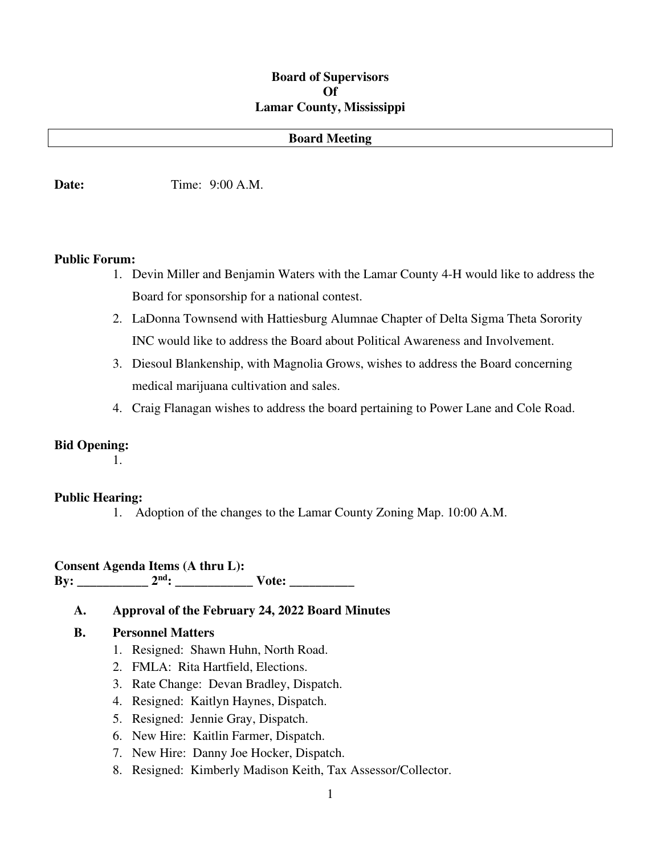#### **Board of Supervisors Of Lamar County, Mississippi**

#### **Board Meeting**

**Date:** Time: 9:00 A.M.

#### **Public Forum:**

- 1. Devin Miller and Benjamin Waters with the Lamar County 4-H would like to address the Board for sponsorship for a national contest.
- 2. LaDonna Townsend with Hattiesburg Alumnae Chapter of Delta Sigma Theta Sorority INC would like to address the Board about Political Awareness and Involvement.
- 3. Diesoul Blankenship, with Magnolia Grows, wishes to address the Board concerning medical marijuana cultivation and sales.
- 4. Craig Flanagan wishes to address the board pertaining to Power Lane and Cole Road.

#### **Bid Opening:**

1.

#### **Public Hearing:**

1. Adoption of the changes to the Lamar County Zoning Map. 10:00 A.M.

#### **Consent Agenda Items (A thru L): By:** \_\_\_\_\_\_\_\_\_\_\_\_ 2<sup>nd</sup>: \_\_\_\_\_\_\_\_\_\_\_\_\_ Vote: \_\_\_\_\_\_\_\_\_\_

#### **A. Approval of the February 24, 2022 Board Minutes**

#### **B. Personnel Matters**

- 1. Resigned: Shawn Huhn, North Road.
- 2. FMLA: Rita Hartfield, Elections.
- 3. Rate Change: Devan Bradley, Dispatch.
- 4. Resigned: Kaitlyn Haynes, Dispatch.
- 5. Resigned: Jennie Gray, Dispatch.
- 6. New Hire: Kaitlin Farmer, Dispatch.
- 7. New Hire: Danny Joe Hocker, Dispatch.
- 8. Resigned: Kimberly Madison Keith, Tax Assessor/Collector.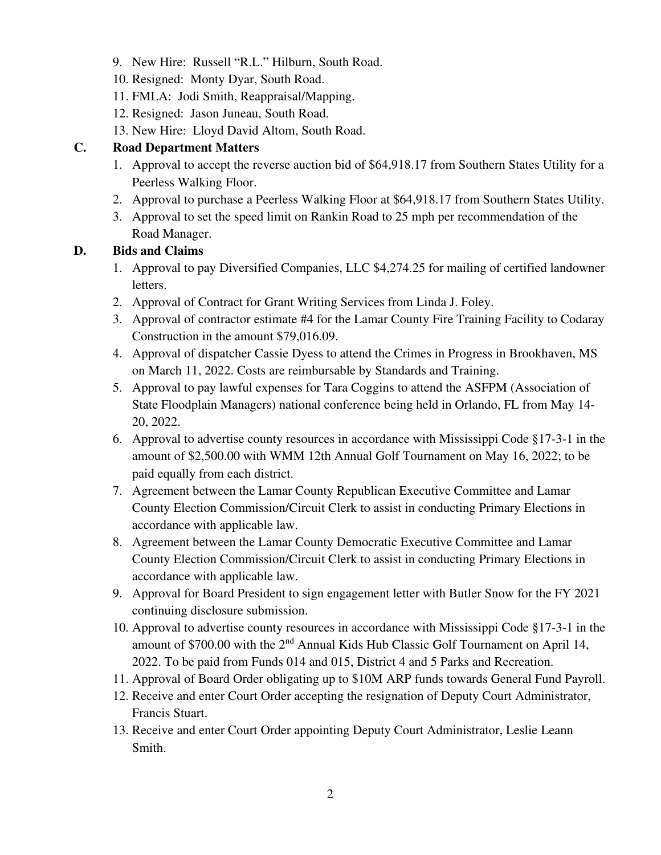- 9. New Hire: Russell "R.L." Hilburn, South Road.
- 10. Resigned: Monty Dyar, South Road.
- 11. FMLA: Jodi Smith, Reappraisal/Mapping.
- 12. Resigned: Jason Juneau, South Road.
- 13. New Hire: Lloyd David Altom, South Road.

### **C. Road Department Matters**

- 1. Approval to accept the reverse auction bid of \$64,918.17 from Southern States Utility for a Peerless Walking Floor.
- 2. Approval to purchase a Peerless Walking Floor at \$64,918.17 from Southern States Utility.
- 3. Approval to set the speed limit on Rankin Road to 25 mph per recommendation of the Road Manager.

## **D. Bids and Claims**

- 1. Approval to pay Diversified Companies, LLC \$4,274.25 for mailing of certified landowner letters.
- 2. Approval of Contract for Grant Writing Services from Linda J. Foley.
- 3. Approval of contractor estimate #4 for the Lamar County Fire Training Facility to Codaray Construction in the amount \$79,016.09.
- 4. Approval of dispatcher Cassie Dyess to attend the Crimes in Progress in Brookhaven, MS on March 11, 2022. Costs are reimbursable by Standards and Training.
- 5. Approval to pay lawful expenses for Tara Coggins to attend the ASFPM (Association of State Floodplain Managers) national conference being held in Orlando, FL from May 14- 20, 2022.
- 6. Approval to advertise county resources in accordance with Mississippi Code §17-3-1 in the amount of \$2,500.00 with WMM 12th Annual Golf Tournament on May 16, 2022; to be paid equally from each district.
- 7. Agreement between the Lamar County Republican Executive Committee and Lamar County Election Commission/Circuit Clerk to assist in conducting Primary Elections in accordance with applicable law.
- 8. Agreement between the Lamar County Democratic Executive Committee and Lamar County Election Commission/Circuit Clerk to assist in conducting Primary Elections in accordance with applicable law.
- 9. Approval for Board President to sign engagement letter with Butler Snow for the FY 2021 continuing disclosure submission.
- 10. Approval to advertise county resources in accordance with Mississippi Code §17-3-1 in the amount of  $$700.00$  with the  $2<sup>nd</sup>$  Annual Kids Hub Classic Golf Tournament on April 14, 2022. To be paid from Funds 014 and 015, District 4 and 5 Parks and Recreation.
- 11. Approval of Board Order obligating up to \$10M ARP funds towards General Fund Payroll.
- 12. Receive and enter Court Order accepting the resignation of Deputy Court Administrator, Francis Stuart.
- 13. Receive and enter Court Order appointing Deputy Court Administrator, Leslie Leann Smith.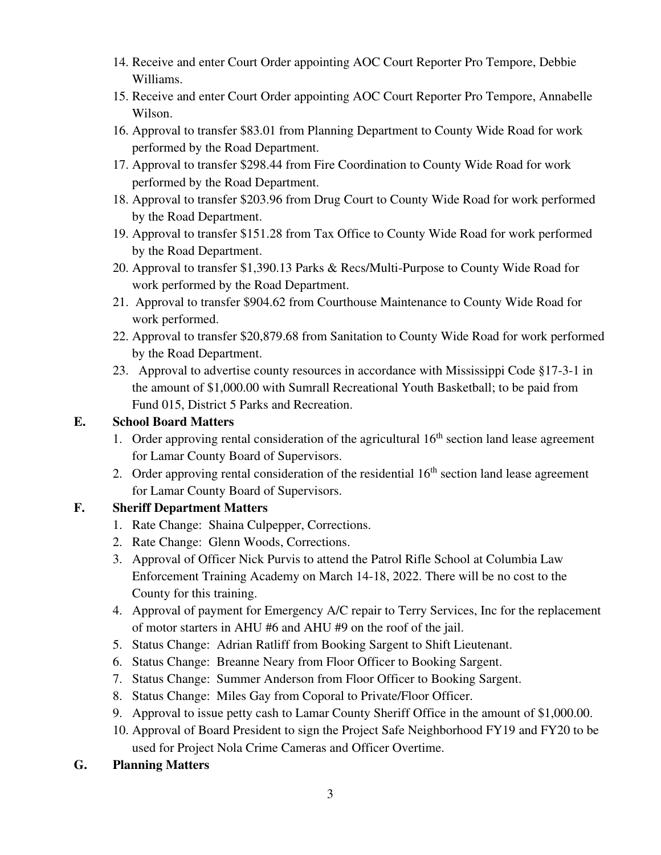- 14. Receive and enter Court Order appointing AOC Court Reporter Pro Tempore, Debbie Williams.
- 15. Receive and enter Court Order appointing AOC Court Reporter Pro Tempore, Annabelle Wilson.
- 16. Approval to transfer \$83.01 from Planning Department to County Wide Road for work performed by the Road Department.
- 17. Approval to transfer \$298.44 from Fire Coordination to County Wide Road for work performed by the Road Department.
- 18. Approval to transfer \$203.96 from Drug Court to County Wide Road for work performed by the Road Department.
- 19. Approval to transfer \$151.28 from Tax Office to County Wide Road for work performed by the Road Department.
- 20. Approval to transfer \$1,390.13 Parks & Recs/Multi-Purpose to County Wide Road for work performed by the Road Department.
- 21. Approval to transfer \$904.62 from Courthouse Maintenance to County Wide Road for work performed.
- 22. Approval to transfer \$20,879.68 from Sanitation to County Wide Road for work performed by the Road Department.
- 23. Approval to advertise county resources in accordance with Mississippi Code §17-3-1 in the amount of \$1,000.00 with Sumrall Recreational Youth Basketball; to be paid from Fund 015, District 5 Parks and Recreation.

## **E. School Board Matters**

- 1. Order approving rental consideration of the agricultural  $16<sup>th</sup>$  section land lease agreement for Lamar County Board of Supervisors.
- 2. Order approving rental consideration of the residential  $16<sup>th</sup>$  section land lease agreement for Lamar County Board of Supervisors.

# **F. Sheriff Department Matters**

- 1. Rate Change: Shaina Culpepper, Corrections.
- 2. Rate Change: Glenn Woods, Corrections.
- 3. Approval of Officer Nick Purvis to attend the Patrol Rifle School at Columbia Law Enforcement Training Academy on March 14-18, 2022. There will be no cost to the County for this training.
- 4. Approval of payment for Emergency A/C repair to Terry Services, Inc for the replacement of motor starters in AHU #6 and AHU #9 on the roof of the jail.
- 5. Status Change: Adrian Ratliff from Booking Sargent to Shift Lieutenant.
- 6. Status Change: Breanne Neary from Floor Officer to Booking Sargent.
- 7. Status Change: Summer Anderson from Floor Officer to Booking Sargent.
- 8. Status Change: Miles Gay from Coporal to Private/Floor Officer.
- 9. Approval to issue petty cash to Lamar County Sheriff Office in the amount of \$1,000.00.
- 10. Approval of Board President to sign the Project Safe Neighborhood FY19 and FY20 to be used for Project Nola Crime Cameras and Officer Overtime.
- **G. Planning Matters**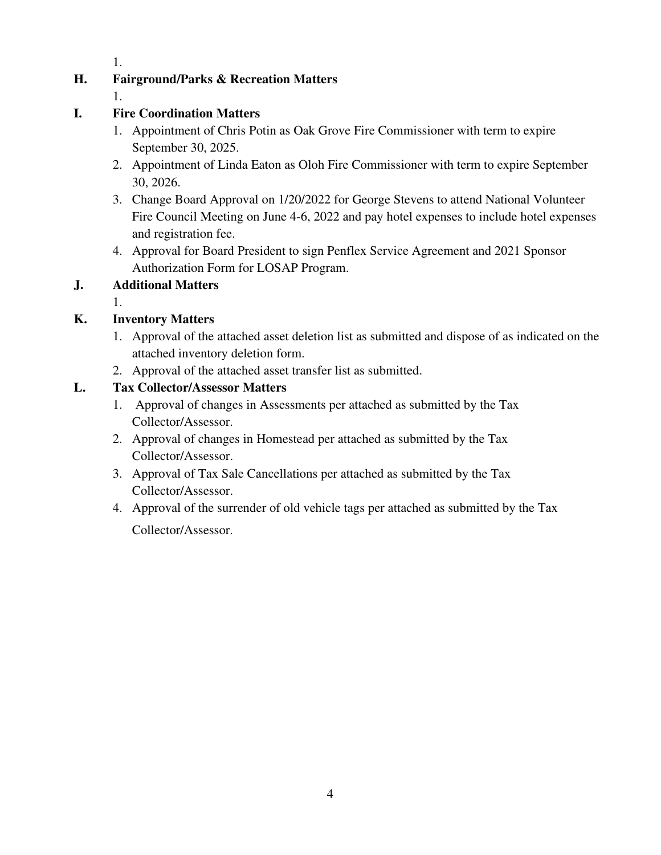1.

## **H. Fairground/Parks & Recreation Matters**

1.

## **I. Fire Coordination Matters**

- 1. Appointment of Chris Potin as Oak Grove Fire Commissioner with term to expire September 30, 2025.
- 2. Appointment of Linda Eaton as Oloh Fire Commissioner with term to expire September 30, 2026.
- 3. Change Board Approval on 1/20/2022 for George Stevens to attend National Volunteer Fire Council Meeting on June 4-6, 2022 and pay hotel expenses to include hotel expenses and registration fee.
- 4. Approval for Board President to sign Penflex Service Agreement and 2021 Sponsor Authorization Form for LOSAP Program.

## **J. Additional Matters**

1.

## **K. Inventory Matters**

- 1. Approval of the attached asset deletion list as submitted and dispose of as indicated on the attached inventory deletion form.
- 2. Approval of the attached asset transfer list as submitted.

#### **L. Tax Collector/Assessor Matters**

- 1. Approval of changes in Assessments per attached as submitted by the Tax Collector/Assessor.
- 2. Approval of changes in Homestead per attached as submitted by the Tax Collector/Assessor.
- 3. Approval of Tax Sale Cancellations per attached as submitted by the Tax Collector/Assessor.
- 4. Approval of the surrender of old vehicle tags per attached as submitted by the Tax Collector/Assessor.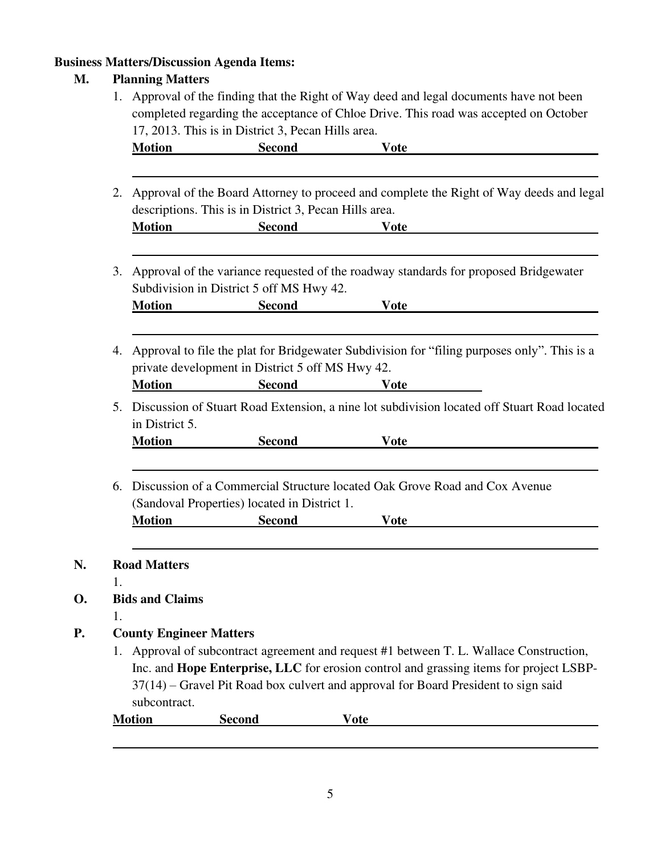# **Business Matters/Discussion Agenda Items:**

# **M. Planning Matters**

**N.** 

**D.** 

|    |                                                                                                                                                   | 17, 2013. This is in District 3, Pecan Hills area. | Approval of the finding that the Right of Way deed and legal documents have not been<br>completed regarding the acceptance of Chloe Drive. This road was accepted on October |  |  |
|----|---------------------------------------------------------------------------------------------------------------------------------------------------|----------------------------------------------------|------------------------------------------------------------------------------------------------------------------------------------------------------------------------------|--|--|
|    | <b>Motion</b>                                                                                                                                     | <b>Second</b>                                      | <b>Vote</b>                                                                                                                                                                  |  |  |
| 2. | Approval of the Board Attorney to proceed and complete the Right of Way deeds and legal<br>descriptions. This is in District 3, Pecan Hills area. |                                                    |                                                                                                                                                                              |  |  |
|    | <b>Motion</b>                                                                                                                                     | <b>Second</b>                                      | <b>Vote</b>                                                                                                                                                                  |  |  |
| 3. | Approval of the variance requested of the roadway standards for proposed Bridgewater<br>Subdivision in District 5 off MS Hwy 42.                  |                                                    |                                                                                                                                                                              |  |  |
|    | <b>Motion</b>                                                                                                                                     | <b>Second</b>                                      | <b>Vote</b>                                                                                                                                                                  |  |  |
| 4. |                                                                                                                                                   | private development in District 5 off MS Hwy 42.   | Approval to file the plat for Bridgewater Subdivision for "filing purposes only". This is a                                                                                  |  |  |
| 5. | <b>Motion</b><br>in District 5.                                                                                                                   | <b>Second</b>                                      | <b>Vote</b><br>Discussion of Stuart Road Extension, a nine lot subdivision located off Stuart Road located                                                                   |  |  |
|    | <b>Motion</b>                                                                                                                                     | <b>Second</b>                                      | <b>Vote</b>                                                                                                                                                                  |  |  |
| 6. | Discussion of a Commercial Structure located Oak Grove Road and Cox Avenue<br>(Sandoval Properties) located in District 1.                        |                                                    |                                                                                                                                                                              |  |  |
|    |                                                                                                                                                   | <b>Second</b>                                      |                                                                                                                                                                              |  |  |